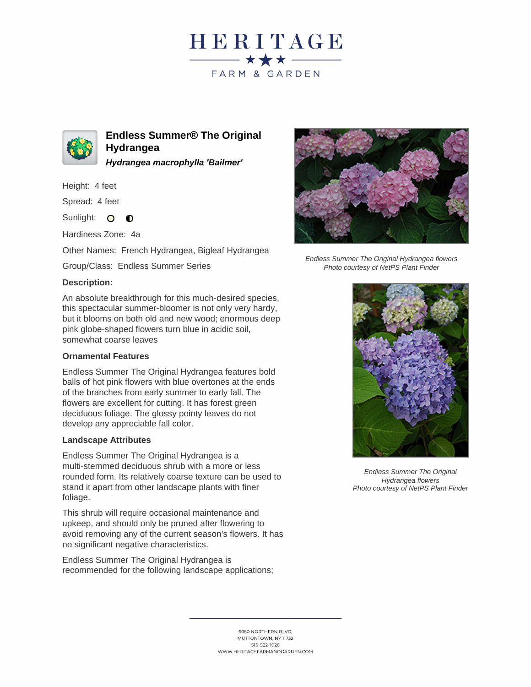



**Endless Summer® The Original Hydrangea Hydrangea macrophylla 'Bailmer'**

Height: 4 feet

Spread: 4 feet

Sunlight: O **O** 

Hardiness Zone: 4a

Other Names: French Hydrangea, Bigleaf Hydrangea

Group/Class: Endless Summer Series

## **Description:**

An absolute breakthrough for this much-desired species, this spectacular summer-bloomer is not only very hardy, but it blooms on both old and new wood; enormous deep pink globe-shaped flowers turn blue in acidic soil, somewhat coarse leaves

## **Ornamental Features**

Endless Summer The Original Hydrangea features bold balls of hot pink flowers with blue overtones at the ends of the branches from early summer to early fall. The flowers are excellent for cutting. It has forest green deciduous foliage. The glossy pointy leaves do not develop any appreciable fall color.

## **Landscape Attributes**

Endless Summer The Original Hydrangea is a multi-stemmed deciduous shrub with a more or less rounded form. Its relatively coarse texture can be used to stand it apart from other landscape plants with finer foliage.

This shrub will require occasional maintenance and upkeep, and should only be pruned after flowering to avoid removing any of the current season's flowers. It has no significant negative characteristics.

Endless Summer The Original Hydrangea is recommended for the following landscape applications;



Endless Summer The Original Hydrangea flowers Photo courtesy of NetPS Plant Finder



Endless Summer The Original Hydrangea flowers Photo courtesy of NetPS Plant Finder